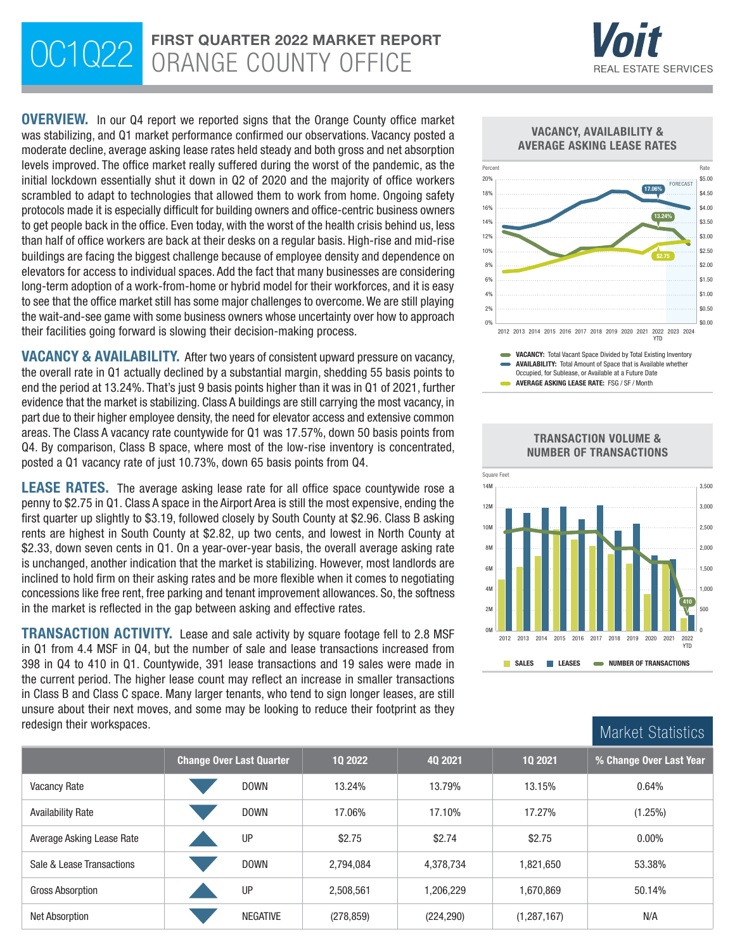# OC1Q22 FIRST QUARTER 2022 MARKET REPORTED THE COUNTY OFFICE



\$0.00 \$0.50

OVERVIEW. In our Q4 report we reported signs that the Orange County office market was stabilizing, and Q1 market performance confirmed our observations. Vacancy posted a moderate decline, average asking lease rates held steady and both gross and net absorption levels improved. The office market really suffered during the worst of the pandemic, as the initial lockdown essentially shut it down in Q2 of 2020 and the majority of office workers scrambled to adapt to technologies that allowed them to work from home. Ongoing safety protocols made it is especially difficult for building owners and office-centric business owners to get people back in the office. Even today, with the worst of the health crisis behind us, less than half of office workers are back at their desks on a regular basis. High-rise and mid-rise buildings are facing the biggest challenge because of employee density and dependence on elevators for access to individual spaces. Add the fact that many businesses are considering long-term adoption of a work-from-home or hybrid model for their workforces, and it is easy to see that the office market still has some major challenges to overcome. We are still playing the wait-and-see game with some business owners whose uncertainty over how to approach their facilities going forward is slowing their decision-making process.

VACANCY & AVAILABILITY. After two years of consistent upward pressure on vacancy, the overall rate in Q1 actually declined by a substantial margin, shedding 55 basis points to end the period at 13.24%. That's just 9 basis points higher than it was in Q1 of 2021, further evidence that the market is stabilizing. Class A buildings are still carrying the most vacancy, in part due to their higher employee density, the need for elevator access and extensive common areas. The Class A vacancy rate countywide for Q1 was 17.57%, down 50 basis points from Q4. By comparison, Class B space, where most of the low-rise inventory is concentrated, posted a Q1 vacancy rate of just 10.73%, down 65 basis points from Q4.

**LEASE RATES.** The average asking lease rate for all office space countywide rose a penny to \$2.75 in Q1. Class A space in the Airport Area is still the most expensive, ending the first quarter up slightly to \$3.19, followed closely by South County at \$2.96. Class B asking rents are highest in South County at \$2.82, up two cents, and lowest in North County at \$2.33, down seven cents in Q1. On a year-over-year basis, the overall average asking rate is unchanged, another indication that the market is stabilizing. However, most landlords are inclined to hold firm on their asking rates and be more flexible when it comes to negotiating concessions like free rent, free parking and tenant improvement allowances. So, the softness in the market is reflected in the gap between asking and effective rates.

TRANSACTION ACTIVITY. Lease and sale activity by square footage fell to 2.8 MSF in Q1 from 4.4 MSF in Q4, but the number of sale and lease transactions increased from 398 in Q4 to 410 in Q1. Countywide, 391 lease transactions and 19 sales were made in the current period. The higher lease count may reflect an increase in smaller transactions in Class B and Class C space. Many larger tenants, who tend to sign longer leases, are still unsure about their next moves, and some may be looking to reduce their footprint as they





2012 2013 2014 2015 2016 2017 2018 2019 2020 2021 2022 2023 2024 YTD





0% 2%



| redesign their workspaces. | Market Statistics               |                 |            |            |               |                         |
|----------------------------|---------------------------------|-----------------|------------|------------|---------------|-------------------------|
|                            | <b>Change Over Last Quarter</b> |                 | 10 2022    | 40 2021    | 10 2021       | % Change Over Last Year |
| <b>Vacancy Rate</b>        |                                 | <b>DOWN</b>     | 13.24%     | 13.79%     | 13.15%        | 0.64%                   |
| <b>Availability Rate</b>   |                                 | <b>DOWN</b>     | 17.06%     | 17.10%     | 17.27%        | (1.25%)                 |
| Average Asking Lease Rate  |                                 | UP              | \$2.75     | \$2.74     | \$2.75        | $0.00\%$                |
| Sale & Lease Transactions  |                                 | <b>DOWN</b>     | 2,794,084  | 4,378,734  | 1,821,650     | 53.38%                  |
| Gross Absorption           |                                 | UP              | 2,508,561  | 1,206,229  | 1,670,869     | 50.14%                  |
| <b>Net Absorption</b>      |                                 | <b>NEGATIVE</b> | (278, 859) | (224, 290) | (1, 287, 167) | N/A                     |

#### TRANSACTION VOLUME & NUMBER OF TRANSACTIONS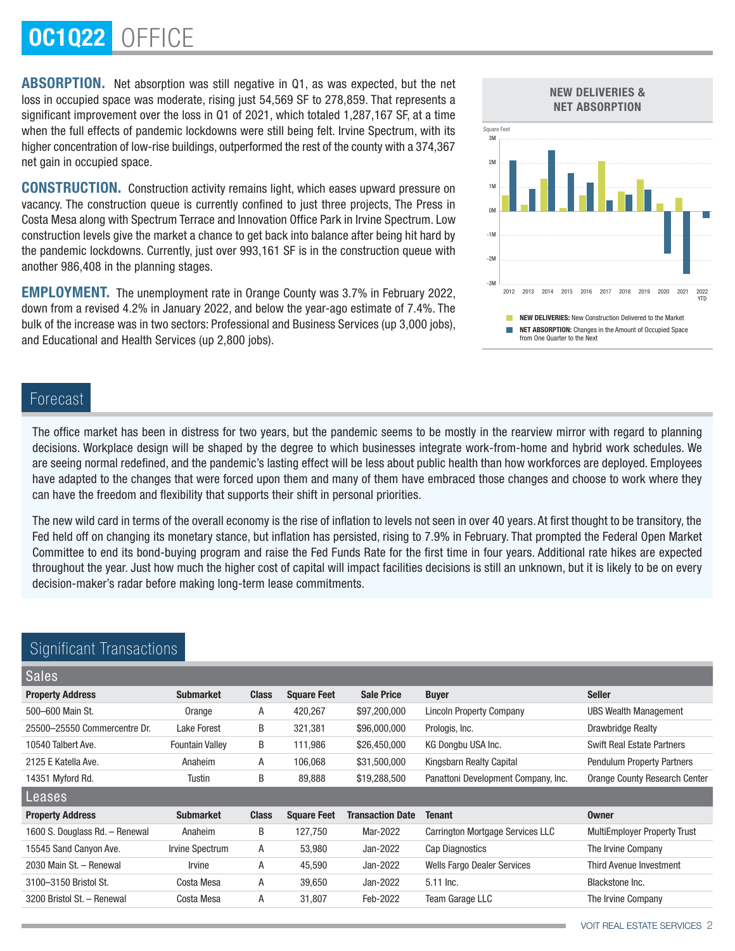# OC1Q22 OFFICE

ABSORPTION. Net absorption was still negative in Q1, as was expected, but the net loss in occupied space was moderate, rising just 54,569 SF to 278,859. That represents a significant improvement over the loss in Q1 of 2021, which totaled 1,287,167 SF, at a time when the full effects of pandemic lockdowns were still being felt. Irvine Spectrum, with its higher concentration of low-rise buildings, outperformed the rest of the county with a 374,367 net gain in occupied space.

CONSTRUCTION. Construction activity remains light, which eases upward pressure on vacancy. The construction queue is currently confined to just three projects, The Press in Costa Mesa along with Spectrum Terrace and Innovation Office Park in Irvine Spectrum. Low construction levels give the market a chance to get back into balance after being hit hard by the pandemic lockdowns. Currently, just over 993,161 SF is in the construction queue with another 986,408 in the planning stages.

EMPLOYMENT. The unemployment rate in Orange County was 3.7% in February 2022, down from a revised 4.2% in January 2022, and below the year-ago estimate of 7.4%. The bulk of the increase was in two sectors: Professional and Business Services (up 3,000 jobs), and Educational and Health Services (up 2,800 jobs).



## Forecast

The office market has been in distress for two years, but the pandemic seems to be mostly in the rearview mirror with regard to planning decisions. Workplace design will be shaped by the degree to which businesses integrate work-from-home and hybrid work schedules. We are seeing normal redefined, and the pandemic's lasting effect will be less about public health than how workforces are deployed. Employees have adapted to the changes that were forced upon them and many of them have embraced those changes and choose to work where they can have the freedom and flexibility that supports their shift in personal priorities.

The new wild card in terms of the overall economy is the rise of inflation to levels not seen in over 40 years. At first thought to be transitory, the Fed held off on changing its monetary stance, but inflation has persisted, rising to 7.9% in February. That prompted the Federal Open Market Committee to end its bond-buying program and raise the Fed Funds Rate for the first time in four years. Additional rate hikes are expected throughout the year. Just how much the higher cost of capital will impact facilities decisions is still an unknown, but it is likely to be on every decision-maker's radar before making long-term lease commitments.

| <b>Sales</b>                   |                        |              |                    |                         |                                     |                                      |
|--------------------------------|------------------------|--------------|--------------------|-------------------------|-------------------------------------|--------------------------------------|
| <b>Property Address</b>        | <b>Submarket</b>       | <b>Class</b> | <b>Square Feet</b> | <b>Sale Price</b>       | <b>Buyer</b>                        | <b>Seller</b>                        |
| 500-600 Main St.               | Orange                 | A            | 420,267            | \$97,200,000            | <b>Lincoln Property Company</b>     | <b>UBS Wealth Management</b>         |
| 25500-25550 Commercentre Dr.   | Lake Forest            | B            | 321,381            | \$96,000,000            | Prologis, Inc.                      | Drawbridge Realty                    |
| 10540 Talbert Ave.             | <b>Fountain Valley</b> | B            | 111,986            | \$26,450,000            | KG Dongbu USA Inc.                  | <b>Swift Real Estate Partners</b>    |
| 2125 E Katella Ave.            | Anaheim                | A            | 106,068            | \$31,500,000            | Kingsbarn Realty Capital            | <b>Pendulum Property Partners</b>    |
| 14351 Myford Rd.               | Tustin                 | B            | 89,888             | \$19,288,500            | Panattoni Development Company, Inc. | <b>Orange County Research Center</b> |
| Leases                         |                        |              |                    |                         |                                     |                                      |
| <b>Property Address</b>        | <b>Submarket</b>       | <b>Class</b> | <b>Square Feet</b> | <b>Transaction Date</b> | Tenant                              | <b>Owner</b>                         |
|                                |                        |              |                    |                         |                                     |                                      |
| 1600 S. Douglass Rd. - Renewal | Anaheim                | B            | 127,750            | Mar-2022                | Carrington Mortgage Services LLC    | <b>MultiEmployer Property Trust</b>  |
| 15545 Sand Canyon Ave.         | Irvine Spectrum        | A            | 53,980             | Jan-2022                | Cap Diagnostics                     | The Irvine Company                   |
| 2030 Main St. - Renewal        | Irvine                 | Α            | 45,590             | Jan-2022                | <b>Wells Fargo Dealer Services</b>  | Third Avenue Investment              |
| 3100-3150 Bristol St.          | Costa Mesa             | A            | 39,650             | Jan-2022                | 5.11 lnc.                           | Blackstone Inc.                      |
| 3200 Bristol St. - Renewal     | Costa Mesa             | Α            | 31,807             | Feb-2022                | Team Garage LLC                     | The Irvine Company                   |

# Significant Transaction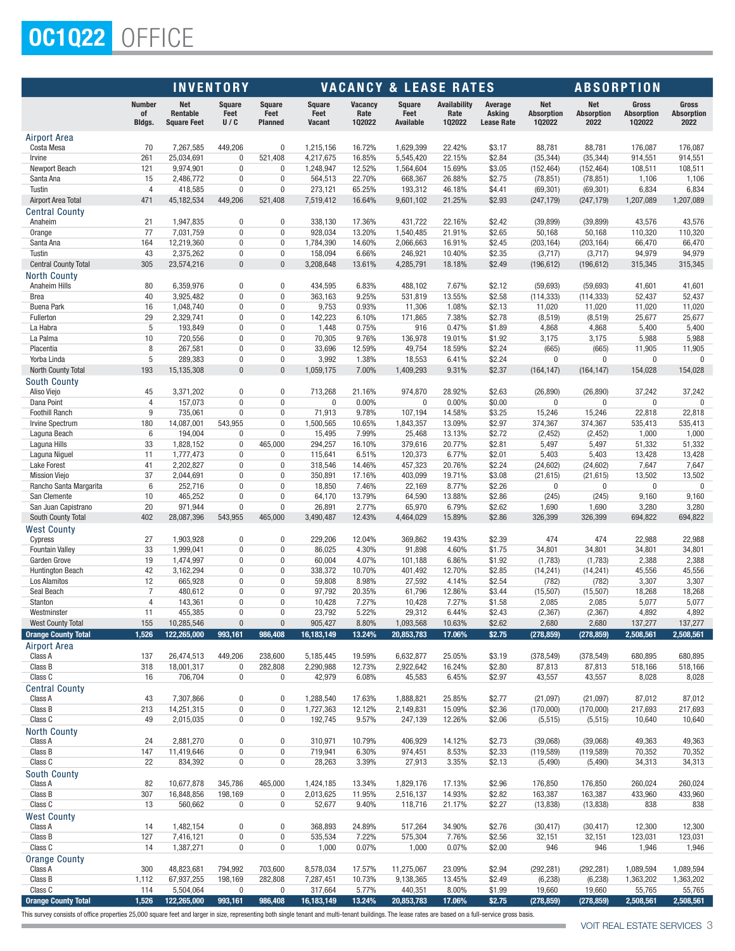# OC1Q22 OFFICE

| <b>Number</b><br><b>Net</b><br>Square<br><b>Square</b><br><b>Vacancy</b><br><b>Square</b><br><b>Availability</b><br>Average<br>Net<br><b>Net</b><br>Gross<br><b>Square</b><br>Rentable<br>Feet<br>Rate<br>Feet<br>Rate<br><b>Absorption</b><br><b>Absorption</b><br>of<br>Feet<br>Feet<br><b>Asking</b><br><b>Absorption</b><br><b>Bldgs.</b><br>U/C<br>102022<br><b>Available</b><br>102022<br>102022<br>2022<br>102022<br><b>Square Feet</b><br><b>Planned</b><br>Vacant<br><b>Lease Rate</b><br><b>Airport Area</b><br>Costa Mesa<br>70<br>7,267,585<br>449,206<br>0<br>1,215,156<br>16.72%<br>1.629.399<br>22.42%<br>\$3.17<br>88,781<br>88,781<br>176,087<br>261<br>25,034,691<br>521,408<br>16.85%<br>5,545,420<br>22.15%<br>\$2.84<br>914,551<br>$\bf{0}$<br>4,217,675<br>(35, 344)<br>(35, 344)<br>Irvine<br>12.52%<br>121<br>9,974,901<br>$\bf{0}$<br>0<br>1,248,947<br>1,564,604<br>15.69%<br>\$3.05<br>(152, 464)<br>(152, 464)<br>108,511<br>Newport Beach<br>15<br>$\pmb{0}$<br>22.70%<br>Santa Ana<br>2,486,772<br>0<br>564,513<br>668,367<br>26.88%<br>\$2.75<br>(78, 851)<br>1,106<br>(78, 851)<br>$\overline{4}$<br>418,585<br>$\mathbf{0}$<br>0<br>273,121<br>65.25%<br>Tustin<br>193,312<br>46.18%<br>\$4.41<br>(69, 301)<br>(69, 301)<br>6,834<br>471<br>45,182,534<br>449,206<br>16.64%<br>21.25%<br>\$2.93<br>Airport Area Total<br>521,408<br>7,519,412<br>9,601,102<br>(247, 179)<br>(247, 179)<br>1,207,089<br>Central County<br>21<br>1,947,835<br>$\bf{0}$<br>0<br>338,130<br>17.36%<br>431,722<br>22.16%<br>\$2.42<br>(39, 899)<br>43,576<br>Anaheim<br>(39, 899)<br>77<br>0<br>0<br>13.20%<br>\$2.65<br>7,031,759<br>928,034<br>1,540,485<br>21.91%<br>50,168<br>110,320<br>Orange<br>50,168<br>164<br>12,219,360<br>0<br>0<br>1,784,390<br>14.60%<br>2,066,663<br>16.91%<br>\$2.45<br>(203, 164)<br>(203, 164)<br>66,470<br>Santa Ana<br>Tustin<br>43<br>2,375,262<br>$\bf{0}$<br>$\bf{0}$<br>158,094<br>6.66%<br>246,921<br>10.40%<br>\$2.35<br>(3,717)<br>94,979<br>(3,717)<br>$\pmb{0}$<br><b>Central County Total</b><br>305<br>23,574,216<br>$\overline{0}$<br>3,208,648<br>13.61%<br>4,285,791<br>18.18%<br>\$2.49<br>(196, 612)<br>(196, 612)<br>315,345<br>North County<br>0<br>6.83%<br>7.67%<br>\$2.12<br>Anaheim Hills<br>80<br>6,359,976<br>$\bf{0}$<br>434,595<br>488,102<br>(59, 693)<br>(59, 693)<br>41,601<br>40<br>3,925,482<br>0<br>0<br>363,163<br>9.25%<br>531,819<br>13.55%<br>\$2.58<br>(114, 333)<br>52,437<br>Brea<br>(114, 333)<br>16<br>9,753<br>1.08%<br>1,048,740<br>$\Omega$<br>0<br>0.93%<br>11,306<br>\$2.13<br>11,020<br>11,020<br>11,020<br><b>Buena Park</b><br>29<br>0<br>142,223<br>7.38%<br>\$2.78<br>Fullerton<br>2,329,741<br>0<br>6.10%<br>171,865<br>(8, 519)<br>25,677<br>(8, 519)<br>5<br>0<br>0<br>1,448<br>0.75%<br>916<br>0.47%<br>4,868<br>La Habra<br>193,849<br>\$1.89<br>4,868<br>5,400<br>10<br>70,305<br>3,175<br>La Palma<br>720,556<br>$\bf{0}$<br>0<br>9.76%<br>136,978<br>19.01%<br>\$1.92<br>3,175<br>5,988<br>8<br>267,581<br>$\Omega$<br>0<br>33,696<br>12.59%<br>49,754<br>18.59%<br>\$2.24<br>(665)<br>(665)<br>11,905<br>Placentia<br>$\overline{5}$<br>289,383<br>0<br>0<br>3,992<br>\$2.24<br>0<br>Yorba Linda<br>1.38%<br>18,553<br>6.41%<br>$\bf{0}$<br>$\bf{0}$<br>193<br>$\Omega$<br>$\mathbf{0}$<br>1,059,175<br>7.00%<br>9.31%<br>\$2.37<br>154,028<br>North County Total<br>15,135,308<br>1,409,293<br>(164, 147)<br>(164, 147)<br><b>South County</b><br>Aliso Viejo<br>45<br>3,371,202<br>$\mathbf{0}$<br>0<br>713,268<br>21.16%<br>974,870<br>28.92%<br>\$2.63<br>(26, 890)<br>(26, 890)<br>37,242<br>$\overline{4}$<br>$\mathbf{0}$<br>0<br>0.00%<br>$\mathbf 0$<br>0.00%<br>\$0.00<br>$\overline{0}$<br>Dana Point<br>157,073<br>0<br>$\bf{0}$<br>$\bf{0}$<br>9<br>0<br>71,913<br>9.78%<br>22,818<br><b>Foothill Ranch</b><br>735,061<br>$\Omega$<br>107,194<br>14.58%<br>\$3.25<br>15,246<br>15,246<br>180<br>14,087,001<br>543,955<br>$\mathbf 0$<br>1,500,565<br>10.65%<br>1,843,357<br>13.09%<br>\$2.97<br>374,367<br>374,367<br>535,413<br>Irvine Spectrum<br>0<br>7.99%<br>Laguna Beach<br>6<br>194,004<br>$\Omega$<br>15,495<br>25,468<br>13.13%<br>\$2.72<br>(2, 452)<br>(2, 452)<br>1,000<br>Laguna Hills<br>33<br>1,828,152<br>0<br>465,000<br>294,257<br>16.10%<br>379,616<br>20.77%<br>\$2.81<br>5,497<br>5,497<br>51,332 | Gross<br><b>Absorption</b><br>2022<br>176,087<br>914,551<br>108,511<br>1,106<br>6,834<br>1,207,089<br>43,576<br>110,320<br>66,470<br>94,979<br>315,345<br>41,601<br>52,437<br>11,020<br>25,677<br>5,400<br>5,988<br>11,905<br>$\mathbf{0}$<br>154,028 |
|-------------------------------------------------------------------------------------------------------------------------------------------------------------------------------------------------------------------------------------------------------------------------------------------------------------------------------------------------------------------------------------------------------------------------------------------------------------------------------------------------------------------------------------------------------------------------------------------------------------------------------------------------------------------------------------------------------------------------------------------------------------------------------------------------------------------------------------------------------------------------------------------------------------------------------------------------------------------------------------------------------------------------------------------------------------------------------------------------------------------------------------------------------------------------------------------------------------------------------------------------------------------------------------------------------------------------------------------------------------------------------------------------------------------------------------------------------------------------------------------------------------------------------------------------------------------------------------------------------------------------------------------------------------------------------------------------------------------------------------------------------------------------------------------------------------------------------------------------------------------------------------------------------------------------------------------------------------------------------------------------------------------------------------------------------------------------------------------------------------------------------------------------------------------------------------------------------------------------------------------------------------------------------------------------------------------------------------------------------------------------------------------------------------------------------------------------------------------------------------------------------------------------------------------------------------------------------------------------------------------------------------------------------------------------------------------------------------------------------------------------------------------------------------------------------------------------------------------------------------------------------------------------------------------------------------------------------------------------------------------------------------------------------------------------------------------------------------------------------------------------------------------------------------------------------------------------------------------------------------------------------------------------------------------------------------------------------------------------------------------------------------------------------------------------------------------------------------------------------------------------------------------------------------------------------------------------------------------------------------------------------------------------------------------------------------------------------------------------------------------------------------------------------------------------------------------------------------------------------------------------------------------------------------------------------------------------------------------------------------------------------------------------------------------------------------------------------------------------------------------------------------------------------------------------------------------------------------------------------------------------------------------------------------------------------------------------------------------------|-------------------------------------------------------------------------------------------------------------------------------------------------------------------------------------------------------------------------------------------------------|
|                                                                                                                                                                                                                                                                                                                                                                                                                                                                                                                                                                                                                                                                                                                                                                                                                                                                                                                                                                                                                                                                                                                                                                                                                                                                                                                                                                                                                                                                                                                                                                                                                                                                                                                                                                                                                                                                                                                                                                                                                                                                                                                                                                                                                                                                                                                                                                                                                                                                                                                                                                                                                                                                                                                                                                                                                                                                                                                                                                                                                                                                                                                                                                                                                                                                                                                                                                                                                                                                                                                                                                                                                                                                                                                                                                                                                                                                                                                                                                                                                                                                                                                                                                                                                                                                                                                                                 |                                                                                                                                                                                                                                                       |
|                                                                                                                                                                                                                                                                                                                                                                                                                                                                                                                                                                                                                                                                                                                                                                                                                                                                                                                                                                                                                                                                                                                                                                                                                                                                                                                                                                                                                                                                                                                                                                                                                                                                                                                                                                                                                                                                                                                                                                                                                                                                                                                                                                                                                                                                                                                                                                                                                                                                                                                                                                                                                                                                                                                                                                                                                                                                                                                                                                                                                                                                                                                                                                                                                                                                                                                                                                                                                                                                                                                                                                                                                                                                                                                                                                                                                                                                                                                                                                                                                                                                                                                                                                                                                                                                                                                                                 |                                                                                                                                                                                                                                                       |
|                                                                                                                                                                                                                                                                                                                                                                                                                                                                                                                                                                                                                                                                                                                                                                                                                                                                                                                                                                                                                                                                                                                                                                                                                                                                                                                                                                                                                                                                                                                                                                                                                                                                                                                                                                                                                                                                                                                                                                                                                                                                                                                                                                                                                                                                                                                                                                                                                                                                                                                                                                                                                                                                                                                                                                                                                                                                                                                                                                                                                                                                                                                                                                                                                                                                                                                                                                                                                                                                                                                                                                                                                                                                                                                                                                                                                                                                                                                                                                                                                                                                                                                                                                                                                                                                                                                                                 |                                                                                                                                                                                                                                                       |
|                                                                                                                                                                                                                                                                                                                                                                                                                                                                                                                                                                                                                                                                                                                                                                                                                                                                                                                                                                                                                                                                                                                                                                                                                                                                                                                                                                                                                                                                                                                                                                                                                                                                                                                                                                                                                                                                                                                                                                                                                                                                                                                                                                                                                                                                                                                                                                                                                                                                                                                                                                                                                                                                                                                                                                                                                                                                                                                                                                                                                                                                                                                                                                                                                                                                                                                                                                                                                                                                                                                                                                                                                                                                                                                                                                                                                                                                                                                                                                                                                                                                                                                                                                                                                                                                                                                                                 |                                                                                                                                                                                                                                                       |
|                                                                                                                                                                                                                                                                                                                                                                                                                                                                                                                                                                                                                                                                                                                                                                                                                                                                                                                                                                                                                                                                                                                                                                                                                                                                                                                                                                                                                                                                                                                                                                                                                                                                                                                                                                                                                                                                                                                                                                                                                                                                                                                                                                                                                                                                                                                                                                                                                                                                                                                                                                                                                                                                                                                                                                                                                                                                                                                                                                                                                                                                                                                                                                                                                                                                                                                                                                                                                                                                                                                                                                                                                                                                                                                                                                                                                                                                                                                                                                                                                                                                                                                                                                                                                                                                                                                                                 |                                                                                                                                                                                                                                                       |
|                                                                                                                                                                                                                                                                                                                                                                                                                                                                                                                                                                                                                                                                                                                                                                                                                                                                                                                                                                                                                                                                                                                                                                                                                                                                                                                                                                                                                                                                                                                                                                                                                                                                                                                                                                                                                                                                                                                                                                                                                                                                                                                                                                                                                                                                                                                                                                                                                                                                                                                                                                                                                                                                                                                                                                                                                                                                                                                                                                                                                                                                                                                                                                                                                                                                                                                                                                                                                                                                                                                                                                                                                                                                                                                                                                                                                                                                                                                                                                                                                                                                                                                                                                                                                                                                                                                                                 |                                                                                                                                                                                                                                                       |
|                                                                                                                                                                                                                                                                                                                                                                                                                                                                                                                                                                                                                                                                                                                                                                                                                                                                                                                                                                                                                                                                                                                                                                                                                                                                                                                                                                                                                                                                                                                                                                                                                                                                                                                                                                                                                                                                                                                                                                                                                                                                                                                                                                                                                                                                                                                                                                                                                                                                                                                                                                                                                                                                                                                                                                                                                                                                                                                                                                                                                                                                                                                                                                                                                                                                                                                                                                                                                                                                                                                                                                                                                                                                                                                                                                                                                                                                                                                                                                                                                                                                                                                                                                                                                                                                                                                                                 |                                                                                                                                                                                                                                                       |
|                                                                                                                                                                                                                                                                                                                                                                                                                                                                                                                                                                                                                                                                                                                                                                                                                                                                                                                                                                                                                                                                                                                                                                                                                                                                                                                                                                                                                                                                                                                                                                                                                                                                                                                                                                                                                                                                                                                                                                                                                                                                                                                                                                                                                                                                                                                                                                                                                                                                                                                                                                                                                                                                                                                                                                                                                                                                                                                                                                                                                                                                                                                                                                                                                                                                                                                                                                                                                                                                                                                                                                                                                                                                                                                                                                                                                                                                                                                                                                                                                                                                                                                                                                                                                                                                                                                                                 |                                                                                                                                                                                                                                                       |
|                                                                                                                                                                                                                                                                                                                                                                                                                                                                                                                                                                                                                                                                                                                                                                                                                                                                                                                                                                                                                                                                                                                                                                                                                                                                                                                                                                                                                                                                                                                                                                                                                                                                                                                                                                                                                                                                                                                                                                                                                                                                                                                                                                                                                                                                                                                                                                                                                                                                                                                                                                                                                                                                                                                                                                                                                                                                                                                                                                                                                                                                                                                                                                                                                                                                                                                                                                                                                                                                                                                                                                                                                                                                                                                                                                                                                                                                                                                                                                                                                                                                                                                                                                                                                                                                                                                                                 |                                                                                                                                                                                                                                                       |
|                                                                                                                                                                                                                                                                                                                                                                                                                                                                                                                                                                                                                                                                                                                                                                                                                                                                                                                                                                                                                                                                                                                                                                                                                                                                                                                                                                                                                                                                                                                                                                                                                                                                                                                                                                                                                                                                                                                                                                                                                                                                                                                                                                                                                                                                                                                                                                                                                                                                                                                                                                                                                                                                                                                                                                                                                                                                                                                                                                                                                                                                                                                                                                                                                                                                                                                                                                                                                                                                                                                                                                                                                                                                                                                                                                                                                                                                                                                                                                                                                                                                                                                                                                                                                                                                                                                                                 |                                                                                                                                                                                                                                                       |
|                                                                                                                                                                                                                                                                                                                                                                                                                                                                                                                                                                                                                                                                                                                                                                                                                                                                                                                                                                                                                                                                                                                                                                                                                                                                                                                                                                                                                                                                                                                                                                                                                                                                                                                                                                                                                                                                                                                                                                                                                                                                                                                                                                                                                                                                                                                                                                                                                                                                                                                                                                                                                                                                                                                                                                                                                                                                                                                                                                                                                                                                                                                                                                                                                                                                                                                                                                                                                                                                                                                                                                                                                                                                                                                                                                                                                                                                                                                                                                                                                                                                                                                                                                                                                                                                                                                                                 |                                                                                                                                                                                                                                                       |
|                                                                                                                                                                                                                                                                                                                                                                                                                                                                                                                                                                                                                                                                                                                                                                                                                                                                                                                                                                                                                                                                                                                                                                                                                                                                                                                                                                                                                                                                                                                                                                                                                                                                                                                                                                                                                                                                                                                                                                                                                                                                                                                                                                                                                                                                                                                                                                                                                                                                                                                                                                                                                                                                                                                                                                                                                                                                                                                                                                                                                                                                                                                                                                                                                                                                                                                                                                                                                                                                                                                                                                                                                                                                                                                                                                                                                                                                                                                                                                                                                                                                                                                                                                                                                                                                                                                                                 |                                                                                                                                                                                                                                                       |
|                                                                                                                                                                                                                                                                                                                                                                                                                                                                                                                                                                                                                                                                                                                                                                                                                                                                                                                                                                                                                                                                                                                                                                                                                                                                                                                                                                                                                                                                                                                                                                                                                                                                                                                                                                                                                                                                                                                                                                                                                                                                                                                                                                                                                                                                                                                                                                                                                                                                                                                                                                                                                                                                                                                                                                                                                                                                                                                                                                                                                                                                                                                                                                                                                                                                                                                                                                                                                                                                                                                                                                                                                                                                                                                                                                                                                                                                                                                                                                                                                                                                                                                                                                                                                                                                                                                                                 |                                                                                                                                                                                                                                                       |
|                                                                                                                                                                                                                                                                                                                                                                                                                                                                                                                                                                                                                                                                                                                                                                                                                                                                                                                                                                                                                                                                                                                                                                                                                                                                                                                                                                                                                                                                                                                                                                                                                                                                                                                                                                                                                                                                                                                                                                                                                                                                                                                                                                                                                                                                                                                                                                                                                                                                                                                                                                                                                                                                                                                                                                                                                                                                                                                                                                                                                                                                                                                                                                                                                                                                                                                                                                                                                                                                                                                                                                                                                                                                                                                                                                                                                                                                                                                                                                                                                                                                                                                                                                                                                                                                                                                                                 |                                                                                                                                                                                                                                                       |
|                                                                                                                                                                                                                                                                                                                                                                                                                                                                                                                                                                                                                                                                                                                                                                                                                                                                                                                                                                                                                                                                                                                                                                                                                                                                                                                                                                                                                                                                                                                                                                                                                                                                                                                                                                                                                                                                                                                                                                                                                                                                                                                                                                                                                                                                                                                                                                                                                                                                                                                                                                                                                                                                                                                                                                                                                                                                                                                                                                                                                                                                                                                                                                                                                                                                                                                                                                                                                                                                                                                                                                                                                                                                                                                                                                                                                                                                                                                                                                                                                                                                                                                                                                                                                                                                                                                                                 |                                                                                                                                                                                                                                                       |
|                                                                                                                                                                                                                                                                                                                                                                                                                                                                                                                                                                                                                                                                                                                                                                                                                                                                                                                                                                                                                                                                                                                                                                                                                                                                                                                                                                                                                                                                                                                                                                                                                                                                                                                                                                                                                                                                                                                                                                                                                                                                                                                                                                                                                                                                                                                                                                                                                                                                                                                                                                                                                                                                                                                                                                                                                                                                                                                                                                                                                                                                                                                                                                                                                                                                                                                                                                                                                                                                                                                                                                                                                                                                                                                                                                                                                                                                                                                                                                                                                                                                                                                                                                                                                                                                                                                                                 |                                                                                                                                                                                                                                                       |
|                                                                                                                                                                                                                                                                                                                                                                                                                                                                                                                                                                                                                                                                                                                                                                                                                                                                                                                                                                                                                                                                                                                                                                                                                                                                                                                                                                                                                                                                                                                                                                                                                                                                                                                                                                                                                                                                                                                                                                                                                                                                                                                                                                                                                                                                                                                                                                                                                                                                                                                                                                                                                                                                                                                                                                                                                                                                                                                                                                                                                                                                                                                                                                                                                                                                                                                                                                                                                                                                                                                                                                                                                                                                                                                                                                                                                                                                                                                                                                                                                                                                                                                                                                                                                                                                                                                                                 |                                                                                                                                                                                                                                                       |
|                                                                                                                                                                                                                                                                                                                                                                                                                                                                                                                                                                                                                                                                                                                                                                                                                                                                                                                                                                                                                                                                                                                                                                                                                                                                                                                                                                                                                                                                                                                                                                                                                                                                                                                                                                                                                                                                                                                                                                                                                                                                                                                                                                                                                                                                                                                                                                                                                                                                                                                                                                                                                                                                                                                                                                                                                                                                                                                                                                                                                                                                                                                                                                                                                                                                                                                                                                                                                                                                                                                                                                                                                                                                                                                                                                                                                                                                                                                                                                                                                                                                                                                                                                                                                                                                                                                                                 |                                                                                                                                                                                                                                                       |
|                                                                                                                                                                                                                                                                                                                                                                                                                                                                                                                                                                                                                                                                                                                                                                                                                                                                                                                                                                                                                                                                                                                                                                                                                                                                                                                                                                                                                                                                                                                                                                                                                                                                                                                                                                                                                                                                                                                                                                                                                                                                                                                                                                                                                                                                                                                                                                                                                                                                                                                                                                                                                                                                                                                                                                                                                                                                                                                                                                                                                                                                                                                                                                                                                                                                                                                                                                                                                                                                                                                                                                                                                                                                                                                                                                                                                                                                                                                                                                                                                                                                                                                                                                                                                                                                                                                                                 |                                                                                                                                                                                                                                                       |
|                                                                                                                                                                                                                                                                                                                                                                                                                                                                                                                                                                                                                                                                                                                                                                                                                                                                                                                                                                                                                                                                                                                                                                                                                                                                                                                                                                                                                                                                                                                                                                                                                                                                                                                                                                                                                                                                                                                                                                                                                                                                                                                                                                                                                                                                                                                                                                                                                                                                                                                                                                                                                                                                                                                                                                                                                                                                                                                                                                                                                                                                                                                                                                                                                                                                                                                                                                                                                                                                                                                                                                                                                                                                                                                                                                                                                                                                                                                                                                                                                                                                                                                                                                                                                                                                                                                                                 |                                                                                                                                                                                                                                                       |
|                                                                                                                                                                                                                                                                                                                                                                                                                                                                                                                                                                                                                                                                                                                                                                                                                                                                                                                                                                                                                                                                                                                                                                                                                                                                                                                                                                                                                                                                                                                                                                                                                                                                                                                                                                                                                                                                                                                                                                                                                                                                                                                                                                                                                                                                                                                                                                                                                                                                                                                                                                                                                                                                                                                                                                                                                                                                                                                                                                                                                                                                                                                                                                                                                                                                                                                                                                                                                                                                                                                                                                                                                                                                                                                                                                                                                                                                                                                                                                                                                                                                                                                                                                                                                                                                                                                                                 |                                                                                                                                                                                                                                                       |
|                                                                                                                                                                                                                                                                                                                                                                                                                                                                                                                                                                                                                                                                                                                                                                                                                                                                                                                                                                                                                                                                                                                                                                                                                                                                                                                                                                                                                                                                                                                                                                                                                                                                                                                                                                                                                                                                                                                                                                                                                                                                                                                                                                                                                                                                                                                                                                                                                                                                                                                                                                                                                                                                                                                                                                                                                                                                                                                                                                                                                                                                                                                                                                                                                                                                                                                                                                                                                                                                                                                                                                                                                                                                                                                                                                                                                                                                                                                                                                                                                                                                                                                                                                                                                                                                                                                                                 |                                                                                                                                                                                                                                                       |
|                                                                                                                                                                                                                                                                                                                                                                                                                                                                                                                                                                                                                                                                                                                                                                                                                                                                                                                                                                                                                                                                                                                                                                                                                                                                                                                                                                                                                                                                                                                                                                                                                                                                                                                                                                                                                                                                                                                                                                                                                                                                                                                                                                                                                                                                                                                                                                                                                                                                                                                                                                                                                                                                                                                                                                                                                                                                                                                                                                                                                                                                                                                                                                                                                                                                                                                                                                                                                                                                                                                                                                                                                                                                                                                                                                                                                                                                                                                                                                                                                                                                                                                                                                                                                                                                                                                                                 |                                                                                                                                                                                                                                                       |
|                                                                                                                                                                                                                                                                                                                                                                                                                                                                                                                                                                                                                                                                                                                                                                                                                                                                                                                                                                                                                                                                                                                                                                                                                                                                                                                                                                                                                                                                                                                                                                                                                                                                                                                                                                                                                                                                                                                                                                                                                                                                                                                                                                                                                                                                                                                                                                                                                                                                                                                                                                                                                                                                                                                                                                                                                                                                                                                                                                                                                                                                                                                                                                                                                                                                                                                                                                                                                                                                                                                                                                                                                                                                                                                                                                                                                                                                                                                                                                                                                                                                                                                                                                                                                                                                                                                                                 |                                                                                                                                                                                                                                                       |
|                                                                                                                                                                                                                                                                                                                                                                                                                                                                                                                                                                                                                                                                                                                                                                                                                                                                                                                                                                                                                                                                                                                                                                                                                                                                                                                                                                                                                                                                                                                                                                                                                                                                                                                                                                                                                                                                                                                                                                                                                                                                                                                                                                                                                                                                                                                                                                                                                                                                                                                                                                                                                                                                                                                                                                                                                                                                                                                                                                                                                                                                                                                                                                                                                                                                                                                                                                                                                                                                                                                                                                                                                                                                                                                                                                                                                                                                                                                                                                                                                                                                                                                                                                                                                                                                                                                                                 | 37,242                                                                                                                                                                                                                                                |
|                                                                                                                                                                                                                                                                                                                                                                                                                                                                                                                                                                                                                                                                                                                                                                                                                                                                                                                                                                                                                                                                                                                                                                                                                                                                                                                                                                                                                                                                                                                                                                                                                                                                                                                                                                                                                                                                                                                                                                                                                                                                                                                                                                                                                                                                                                                                                                                                                                                                                                                                                                                                                                                                                                                                                                                                                                                                                                                                                                                                                                                                                                                                                                                                                                                                                                                                                                                                                                                                                                                                                                                                                                                                                                                                                                                                                                                                                                                                                                                                                                                                                                                                                                                                                                                                                                                                                 | $\mathbf{0}$                                                                                                                                                                                                                                          |
|                                                                                                                                                                                                                                                                                                                                                                                                                                                                                                                                                                                                                                                                                                                                                                                                                                                                                                                                                                                                                                                                                                                                                                                                                                                                                                                                                                                                                                                                                                                                                                                                                                                                                                                                                                                                                                                                                                                                                                                                                                                                                                                                                                                                                                                                                                                                                                                                                                                                                                                                                                                                                                                                                                                                                                                                                                                                                                                                                                                                                                                                                                                                                                                                                                                                                                                                                                                                                                                                                                                                                                                                                                                                                                                                                                                                                                                                                                                                                                                                                                                                                                                                                                                                                                                                                                                                                 | 22,818                                                                                                                                                                                                                                                |
|                                                                                                                                                                                                                                                                                                                                                                                                                                                                                                                                                                                                                                                                                                                                                                                                                                                                                                                                                                                                                                                                                                                                                                                                                                                                                                                                                                                                                                                                                                                                                                                                                                                                                                                                                                                                                                                                                                                                                                                                                                                                                                                                                                                                                                                                                                                                                                                                                                                                                                                                                                                                                                                                                                                                                                                                                                                                                                                                                                                                                                                                                                                                                                                                                                                                                                                                                                                                                                                                                                                                                                                                                                                                                                                                                                                                                                                                                                                                                                                                                                                                                                                                                                                                                                                                                                                                                 | 535,413                                                                                                                                                                                                                                               |
|                                                                                                                                                                                                                                                                                                                                                                                                                                                                                                                                                                                                                                                                                                                                                                                                                                                                                                                                                                                                                                                                                                                                                                                                                                                                                                                                                                                                                                                                                                                                                                                                                                                                                                                                                                                                                                                                                                                                                                                                                                                                                                                                                                                                                                                                                                                                                                                                                                                                                                                                                                                                                                                                                                                                                                                                                                                                                                                                                                                                                                                                                                                                                                                                                                                                                                                                                                                                                                                                                                                                                                                                                                                                                                                                                                                                                                                                                                                                                                                                                                                                                                                                                                                                                                                                                                                                                 | 1,000                                                                                                                                                                                                                                                 |
|                                                                                                                                                                                                                                                                                                                                                                                                                                                                                                                                                                                                                                                                                                                                                                                                                                                                                                                                                                                                                                                                                                                                                                                                                                                                                                                                                                                                                                                                                                                                                                                                                                                                                                                                                                                                                                                                                                                                                                                                                                                                                                                                                                                                                                                                                                                                                                                                                                                                                                                                                                                                                                                                                                                                                                                                                                                                                                                                                                                                                                                                                                                                                                                                                                                                                                                                                                                                                                                                                                                                                                                                                                                                                                                                                                                                                                                                                                                                                                                                                                                                                                                                                                                                                                                                                                                                                 | 51,332                                                                                                                                                                                                                                                |
| 11<br>6.51%<br>6.77%<br>5,403<br>1,777,473<br>$\bf{0}$<br>0<br>115,641<br>120,373<br>\$2.01<br>5,403<br>13,428<br>Laguna Niguel<br>0                                                                                                                                                                                                                                                                                                                                                                                                                                                                                                                                                                                                                                                                                                                                                                                                                                                                                                                                                                                                                                                                                                                                                                                                                                                                                                                                                                                                                                                                                                                                                                                                                                                                                                                                                                                                                                                                                                                                                                                                                                                                                                                                                                                                                                                                                                                                                                                                                                                                                                                                                                                                                                                                                                                                                                                                                                                                                                                                                                                                                                                                                                                                                                                                                                                                                                                                                                                                                                                                                                                                                                                                                                                                                                                                                                                                                                                                                                                                                                                                                                                                                                                                                                                                            | 13,428                                                                                                                                                                                                                                                |
| 41<br>20.76%<br>\$2.24<br>2,202,827<br>$\mathbf{0}$<br>318,546<br>14.46%<br>457,323<br>(24, 602)<br>7,647<br>Lake Forest<br>(24, 602)<br>37<br>\$3.08<br>2,044,691<br>$\bf{0}$<br>0<br>350,891<br>17.16%<br>403,099<br>19.71%<br>(21, 615)<br>13,502                                                                                                                                                                                                                                                                                                                                                                                                                                                                                                                                                                                                                                                                                                                                                                                                                                                                                                                                                                                                                                                                                                                                                                                                                                                                                                                                                                                                                                                                                                                                                                                                                                                                                                                                                                                                                                                                                                                                                                                                                                                                                                                                                                                                                                                                                                                                                                                                                                                                                                                                                                                                                                                                                                                                                                                                                                                                                                                                                                                                                                                                                                                                                                                                                                                                                                                                                                                                                                                                                                                                                                                                                                                                                                                                                                                                                                                                                                                                                                                                                                                                                            | 7,647<br>13,502                                                                                                                                                                                                                                       |
| (21, 615)<br><b>Mission Viejo</b><br>7.46%<br>8.77%<br>Rancho Santa Margarita<br>6<br>252,716<br>$\mathbf{0}$<br>0<br>18,850<br>22,169<br>\$2.26<br>$\bf{0}$<br>$\bf{0}$<br>0                                                                                                                                                                                                                                                                                                                                                                                                                                                                                                                                                                                                                                                                                                                                                                                                                                                                                                                                                                                                                                                                                                                                                                                                                                                                                                                                                                                                                                                                                                                                                                                                                                                                                                                                                                                                                                                                                                                                                                                                                                                                                                                                                                                                                                                                                                                                                                                                                                                                                                                                                                                                                                                                                                                                                                                                                                                                                                                                                                                                                                                                                                                                                                                                                                                                                                                                                                                                                                                                                                                                                                                                                                                                                                                                                                                                                                                                                                                                                                                                                                                                                                                                                                   | $\mathbf{0}$                                                                                                                                                                                                                                          |
| San Clemente<br>10<br>465,252<br>$\bf{0}$<br>0<br>64,170<br>13.79%<br>64,590<br>13.88%<br>\$2.86<br>(245)<br>(245)<br>9,160                                                                                                                                                                                                                                                                                                                                                                                                                                                                                                                                                                                                                                                                                                                                                                                                                                                                                                                                                                                                                                                                                                                                                                                                                                                                                                                                                                                                                                                                                                                                                                                                                                                                                                                                                                                                                                                                                                                                                                                                                                                                                                                                                                                                                                                                                                                                                                                                                                                                                                                                                                                                                                                                                                                                                                                                                                                                                                                                                                                                                                                                                                                                                                                                                                                                                                                                                                                                                                                                                                                                                                                                                                                                                                                                                                                                                                                                                                                                                                                                                                                                                                                                                                                                                     | 9,160                                                                                                                                                                                                                                                 |
| 20<br>971,944<br>$\theta$<br>0<br>\$2.62<br>San Juan Capistrano<br>26,891<br>2.77%<br>65,970<br>6.79%<br>1,690<br>1,690<br>3,280                                                                                                                                                                                                                                                                                                                                                                                                                                                                                                                                                                                                                                                                                                                                                                                                                                                                                                                                                                                                                                                                                                                                                                                                                                                                                                                                                                                                                                                                                                                                                                                                                                                                                                                                                                                                                                                                                                                                                                                                                                                                                                                                                                                                                                                                                                                                                                                                                                                                                                                                                                                                                                                                                                                                                                                                                                                                                                                                                                                                                                                                                                                                                                                                                                                                                                                                                                                                                                                                                                                                                                                                                                                                                                                                                                                                                                                                                                                                                                                                                                                                                                                                                                                                                | 3,280                                                                                                                                                                                                                                                 |
| 402<br>465,000<br>12.43%<br>15.89%<br>\$2.86<br>South County Total<br>28,087,396<br>543,955<br>3,490,487<br>4,464,029<br>326,399<br>326,399<br>694,822                                                                                                                                                                                                                                                                                                                                                                                                                                                                                                                                                                                                                                                                                                                                                                                                                                                                                                                                                                                                                                                                                                                                                                                                                                                                                                                                                                                                                                                                                                                                                                                                                                                                                                                                                                                                                                                                                                                                                                                                                                                                                                                                                                                                                                                                                                                                                                                                                                                                                                                                                                                                                                                                                                                                                                                                                                                                                                                                                                                                                                                                                                                                                                                                                                                                                                                                                                                                                                                                                                                                                                                                                                                                                                                                                                                                                                                                                                                                                                                                                                                                                                                                                                                          | 694,822                                                                                                                                                                                                                                               |
| <b>West County</b>                                                                                                                                                                                                                                                                                                                                                                                                                                                                                                                                                                                                                                                                                                                                                                                                                                                                                                                                                                                                                                                                                                                                                                                                                                                                                                                                                                                                                                                                                                                                                                                                                                                                                                                                                                                                                                                                                                                                                                                                                                                                                                                                                                                                                                                                                                                                                                                                                                                                                                                                                                                                                                                                                                                                                                                                                                                                                                                                                                                                                                                                                                                                                                                                                                                                                                                                                                                                                                                                                                                                                                                                                                                                                                                                                                                                                                                                                                                                                                                                                                                                                                                                                                                                                                                                                                                              |                                                                                                                                                                                                                                                       |
| 27<br>1,903,928<br>$\bf{0}$<br>0<br>229,206<br>12.04%<br>369,862<br>19.43%<br>\$2.39<br>474<br>474<br>22,988<br>Cypress                                                                                                                                                                                                                                                                                                                                                                                                                                                                                                                                                                                                                                                                                                                                                                                                                                                                                                                                                                                                                                                                                                                                                                                                                                                                                                                                                                                                                                                                                                                                                                                                                                                                                                                                                                                                                                                                                                                                                                                                                                                                                                                                                                                                                                                                                                                                                                                                                                                                                                                                                                                                                                                                                                                                                                                                                                                                                                                                                                                                                                                                                                                                                                                                                                                                                                                                                                                                                                                                                                                                                                                                                                                                                                                                                                                                                                                                                                                                                                                                                                                                                                                                                                                                                         | 22,988                                                                                                                                                                                                                                                |
| 33<br>$\theta$<br>0<br>1,999,041<br>86,025<br>4.30%<br>91,898<br>4.60%<br>\$1.75<br>34,801<br>34,801<br>34,801<br><b>Fountain Valley</b>                                                                                                                                                                                                                                                                                                                                                                                                                                                                                                                                                                                                                                                                                                                                                                                                                                                                                                                                                                                                                                                                                                                                                                                                                                                                                                                                                                                                                                                                                                                                                                                                                                                                                                                                                                                                                                                                                                                                                                                                                                                                                                                                                                                                                                                                                                                                                                                                                                                                                                                                                                                                                                                                                                                                                                                                                                                                                                                                                                                                                                                                                                                                                                                                                                                                                                                                                                                                                                                                                                                                                                                                                                                                                                                                                                                                                                                                                                                                                                                                                                                                                                                                                                                                        | 34,801                                                                                                                                                                                                                                                |
| 4.07%<br>6.86%<br>19<br>1,474,997<br>$\mathbf{0}$<br>0<br>60,004<br>101,188<br>\$1.92<br>(1,783)<br>(1,783)<br>2,388<br>Garden Grove                                                                                                                                                                                                                                                                                                                                                                                                                                                                                                                                                                                                                                                                                                                                                                                                                                                                                                                                                                                                                                                                                                                                                                                                                                                                                                                                                                                                                                                                                                                                                                                                                                                                                                                                                                                                                                                                                                                                                                                                                                                                                                                                                                                                                                                                                                                                                                                                                                                                                                                                                                                                                                                                                                                                                                                                                                                                                                                                                                                                                                                                                                                                                                                                                                                                                                                                                                                                                                                                                                                                                                                                                                                                                                                                                                                                                                                                                                                                                                                                                                                                                                                                                                                                            | 2,388                                                                                                                                                                                                                                                 |
| 42<br>3,162,294<br>0<br>0<br>338,372<br>10.70%<br>401,492<br>12.70%<br>\$2.85<br>(14, 241)<br>45,556<br><b>Huntington Beach</b><br>(14, 241)                                                                                                                                                                                                                                                                                                                                                                                                                                                                                                                                                                                                                                                                                                                                                                                                                                                                                                                                                                                                                                                                                                                                                                                                                                                                                                                                                                                                                                                                                                                                                                                                                                                                                                                                                                                                                                                                                                                                                                                                                                                                                                                                                                                                                                                                                                                                                                                                                                                                                                                                                                                                                                                                                                                                                                                                                                                                                                                                                                                                                                                                                                                                                                                                                                                                                                                                                                                                                                                                                                                                                                                                                                                                                                                                                                                                                                                                                                                                                                                                                                                                                                                                                                                                    | 45,556                                                                                                                                                                                                                                                |
| Los Alamitos<br>12<br>665,928<br>0<br>0<br>59,808<br>8.98%<br>27,592<br>4.14%<br>\$2.54<br>(782)<br>3,307<br>(782)                                                                                                                                                                                                                                                                                                                                                                                                                                                                                                                                                                                                                                                                                                                                                                                                                                                                                                                                                                                                                                                                                                                                                                                                                                                                                                                                                                                                                                                                                                                                                                                                                                                                                                                                                                                                                                                                                                                                                                                                                                                                                                                                                                                                                                                                                                                                                                                                                                                                                                                                                                                                                                                                                                                                                                                                                                                                                                                                                                                                                                                                                                                                                                                                                                                                                                                                                                                                                                                                                                                                                                                                                                                                                                                                                                                                                                                                                                                                                                                                                                                                                                                                                                                                                              | 3,307                                                                                                                                                                                                                                                 |
| $\overline{7}$<br>Seal Beach<br>480,612<br>0<br>0<br>97,792<br>20.35%<br>61,796<br>12.86%<br>\$3.44<br>(15, 507)<br>(15, 507)<br>18,268                                                                                                                                                                                                                                                                                                                                                                                                                                                                                                                                                                                                                                                                                                                                                                                                                                                                                                                                                                                                                                                                                                                                                                                                                                                                                                                                                                                                                                                                                                                                                                                                                                                                                                                                                                                                                                                                                                                                                                                                                                                                                                                                                                                                                                                                                                                                                                                                                                                                                                                                                                                                                                                                                                                                                                                                                                                                                                                                                                                                                                                                                                                                                                                                                                                                                                                                                                                                                                                                                                                                                                                                                                                                                                                                                                                                                                                                                                                                                                                                                                                                                                                                                                                                         | 18,268                                                                                                                                                                                                                                                |
| 10,428<br>7.27%<br>7.27%<br>4<br>143,361<br>0<br>0<br>10,428<br>\$1.58<br>2,085<br>2,085<br>5,077<br>Stanton                                                                                                                                                                                                                                                                                                                                                                                                                                                                                                                                                                                                                                                                                                                                                                                                                                                                                                                                                                                                                                                                                                                                                                                                                                                                                                                                                                                                                                                                                                                                                                                                                                                                                                                                                                                                                                                                                                                                                                                                                                                                                                                                                                                                                                                                                                                                                                                                                                                                                                                                                                                                                                                                                                                                                                                                                                                                                                                                                                                                                                                                                                                                                                                                                                                                                                                                                                                                                                                                                                                                                                                                                                                                                                                                                                                                                                                                                                                                                                                                                                                                                                                                                                                                                                    | 5,077                                                                                                                                                                                                                                                 |
| 11<br>0<br>0<br>23,792<br>5.22%<br>29,312<br>6.44%<br>455,385<br>\$2.43<br>(2, 367)<br>(2, 367)<br>4,892<br>Westminster                                                                                                                                                                                                                                                                                                                                                                                                                                                                                                                                                                                                                                                                                                                                                                                                                                                                                                                                                                                                                                                                                                                                                                                                                                                                                                                                                                                                                                                                                                                                                                                                                                                                                                                                                                                                                                                                                                                                                                                                                                                                                                                                                                                                                                                                                                                                                                                                                                                                                                                                                                                                                                                                                                                                                                                                                                                                                                                                                                                                                                                                                                                                                                                                                                                                                                                                                                                                                                                                                                                                                                                                                                                                                                                                                                                                                                                                                                                                                                                                                                                                                                                                                                                                                         | 4,892                                                                                                                                                                                                                                                 |
| $\pmb{0}$<br>$\boldsymbol{0}$<br>905,427<br>2,680<br><b>West County Total</b><br>155<br>10,285,546<br>8.80%<br>1,093,568<br>10.63%<br>\$2.62<br>2,680<br>137,277                                                                                                                                                                                                                                                                                                                                                                                                                                                                                                                                                                                                                                                                                                                                                                                                                                                                                                                                                                                                                                                                                                                                                                                                                                                                                                                                                                                                                                                                                                                                                                                                                                                                                                                                                                                                                                                                                                                                                                                                                                                                                                                                                                                                                                                                                                                                                                                                                                                                                                                                                                                                                                                                                                                                                                                                                                                                                                                                                                                                                                                                                                                                                                                                                                                                                                                                                                                                                                                                                                                                                                                                                                                                                                                                                                                                                                                                                                                                                                                                                                                                                                                                                                                | 137,277                                                                                                                                                                                                                                               |
| 986,408<br><b>Orange County Total</b><br>1,526<br>122,265,000<br>993,161<br>16,183,149<br>13.24%<br>20,853,783<br>17.06%<br>\$2.75<br>(278, 859)<br>(278, 859)<br>2,508,561                                                                                                                                                                                                                                                                                                                                                                                                                                                                                                                                                                                                                                                                                                                                                                                                                                                                                                                                                                                                                                                                                                                                                                                                                                                                                                                                                                                                                                                                                                                                                                                                                                                                                                                                                                                                                                                                                                                                                                                                                                                                                                                                                                                                                                                                                                                                                                                                                                                                                                                                                                                                                                                                                                                                                                                                                                                                                                                                                                                                                                                                                                                                                                                                                                                                                                                                                                                                                                                                                                                                                                                                                                                                                                                                                                                                                                                                                                                                                                                                                                                                                                                                                                     | 2,508,561                                                                                                                                                                                                                                             |
| Airport Area                                                                                                                                                                                                                                                                                                                                                                                                                                                                                                                                                                                                                                                                                                                                                                                                                                                                                                                                                                                                                                                                                                                                                                                                                                                                                                                                                                                                                                                                                                                                                                                                                                                                                                                                                                                                                                                                                                                                                                                                                                                                                                                                                                                                                                                                                                                                                                                                                                                                                                                                                                                                                                                                                                                                                                                                                                                                                                                                                                                                                                                                                                                                                                                                                                                                                                                                                                                                                                                                                                                                                                                                                                                                                                                                                                                                                                                                                                                                                                                                                                                                                                                                                                                                                                                                                                                                    |                                                                                                                                                                                                                                                       |
| Class A<br>449,206<br>238,600<br>19.59%<br>6,632,877<br>25.05%<br>\$3.19<br>137<br>26,474,513<br>5,185,445<br>(378, 549)<br>(378, 549)<br>680,895                                                                                                                                                                                                                                                                                                                                                                                                                                                                                                                                                                                                                                                                                                                                                                                                                                                                                                                                                                                                                                                                                                                                                                                                                                                                                                                                                                                                                                                                                                                                                                                                                                                                                                                                                                                                                                                                                                                                                                                                                                                                                                                                                                                                                                                                                                                                                                                                                                                                                                                                                                                                                                                                                                                                                                                                                                                                                                                                                                                                                                                                                                                                                                                                                                                                                                                                                                                                                                                                                                                                                                                                                                                                                                                                                                                                                                                                                                                                                                                                                                                                                                                                                                                               | 680,895                                                                                                                                                                                                                                               |
| Class B<br>318<br>18,001,317<br>$\pmb{0}$<br>282,808<br>2,290,988<br>12.73%<br>2,922,642<br>16.24%<br>\$2.80<br>87,813<br>87,813<br>518,166                                                                                                                                                                                                                                                                                                                                                                                                                                                                                                                                                                                                                                                                                                                                                                                                                                                                                                                                                                                                                                                                                                                                                                                                                                                                                                                                                                                                                                                                                                                                                                                                                                                                                                                                                                                                                                                                                                                                                                                                                                                                                                                                                                                                                                                                                                                                                                                                                                                                                                                                                                                                                                                                                                                                                                                                                                                                                                                                                                                                                                                                                                                                                                                                                                                                                                                                                                                                                                                                                                                                                                                                                                                                                                                                                                                                                                                                                                                                                                                                                                                                                                                                                                                                     | 518,166                                                                                                                                                                                                                                               |
| Class C<br>16<br>706,704<br>0<br>$\bf{0}$<br>42,979<br>6.08%<br>6.45%<br>\$2.97<br>43,557<br>43,557<br>45,583<br>8,028                                                                                                                                                                                                                                                                                                                                                                                                                                                                                                                                                                                                                                                                                                                                                                                                                                                                                                                                                                                                                                                                                                                                                                                                                                                                                                                                                                                                                                                                                                                                                                                                                                                                                                                                                                                                                                                                                                                                                                                                                                                                                                                                                                                                                                                                                                                                                                                                                                                                                                                                                                                                                                                                                                                                                                                                                                                                                                                                                                                                                                                                                                                                                                                                                                                                                                                                                                                                                                                                                                                                                                                                                                                                                                                                                                                                                                                                                                                                                                                                                                                                                                                                                                                                                          | 8,028                                                                                                                                                                                                                                                 |
| <b>Central County</b>                                                                                                                                                                                                                                                                                                                                                                                                                                                                                                                                                                                                                                                                                                                                                                                                                                                                                                                                                                                                                                                                                                                                                                                                                                                                                                                                                                                                                                                                                                                                                                                                                                                                                                                                                                                                                                                                                                                                                                                                                                                                                                                                                                                                                                                                                                                                                                                                                                                                                                                                                                                                                                                                                                                                                                                                                                                                                                                                                                                                                                                                                                                                                                                                                                                                                                                                                                                                                                                                                                                                                                                                                                                                                                                                                                                                                                                                                                                                                                                                                                                                                                                                                                                                                                                                                                                           |                                                                                                                                                                                                                                                       |
| Class A<br>43<br>7,307,866<br>0<br>0<br>1,288,540<br>17.63%<br>1,888,821<br>25.85%<br>\$2.77<br>(21, 097)<br>(21, 097)<br>87,012                                                                                                                                                                                                                                                                                                                                                                                                                                                                                                                                                                                                                                                                                                                                                                                                                                                                                                                                                                                                                                                                                                                                                                                                                                                                                                                                                                                                                                                                                                                                                                                                                                                                                                                                                                                                                                                                                                                                                                                                                                                                                                                                                                                                                                                                                                                                                                                                                                                                                                                                                                                                                                                                                                                                                                                                                                                                                                                                                                                                                                                                                                                                                                                                                                                                                                                                                                                                                                                                                                                                                                                                                                                                                                                                                                                                                                                                                                                                                                                                                                                                                                                                                                                                                | 87,012                                                                                                                                                                                                                                                |
| 213<br>0<br>Class B<br>14,251,315<br>$\bf{0}$<br>1,727,363<br>12.12%<br>2,149,831<br>15.09%<br>\$2.36<br>(170,000)<br>(170,000)<br>217,693                                                                                                                                                                                                                                                                                                                                                                                                                                                                                                                                                                                                                                                                                                                                                                                                                                                                                                                                                                                                                                                                                                                                                                                                                                                                                                                                                                                                                                                                                                                                                                                                                                                                                                                                                                                                                                                                                                                                                                                                                                                                                                                                                                                                                                                                                                                                                                                                                                                                                                                                                                                                                                                                                                                                                                                                                                                                                                                                                                                                                                                                                                                                                                                                                                                                                                                                                                                                                                                                                                                                                                                                                                                                                                                                                                                                                                                                                                                                                                                                                                                                                                                                                                                                      | 217,693                                                                                                                                                                                                                                               |
| 0<br>Class C<br>49<br>2,015,035<br>0<br>192,745<br>9.57%<br>12.26%<br>\$2.06<br>247,139<br>(5, 515)<br>(5, 515)<br>10,640                                                                                                                                                                                                                                                                                                                                                                                                                                                                                                                                                                                                                                                                                                                                                                                                                                                                                                                                                                                                                                                                                                                                                                                                                                                                                                                                                                                                                                                                                                                                                                                                                                                                                                                                                                                                                                                                                                                                                                                                                                                                                                                                                                                                                                                                                                                                                                                                                                                                                                                                                                                                                                                                                                                                                                                                                                                                                                                                                                                                                                                                                                                                                                                                                                                                                                                                                                                                                                                                                                                                                                                                                                                                                                                                                                                                                                                                                                                                                                                                                                                                                                                                                                                                                       | 10,640                                                                                                                                                                                                                                                |
| <b>North County</b>                                                                                                                                                                                                                                                                                                                                                                                                                                                                                                                                                                                                                                                                                                                                                                                                                                                                                                                                                                                                                                                                                                                                                                                                                                                                                                                                                                                                                                                                                                                                                                                                                                                                                                                                                                                                                                                                                                                                                                                                                                                                                                                                                                                                                                                                                                                                                                                                                                                                                                                                                                                                                                                                                                                                                                                                                                                                                                                                                                                                                                                                                                                                                                                                                                                                                                                                                                                                                                                                                                                                                                                                                                                                                                                                                                                                                                                                                                                                                                                                                                                                                                                                                                                                                                                                                                                             |                                                                                                                                                                                                                                                       |
| 0<br>Class A<br>24<br>2,881,270<br>0<br>310,971<br>10.79%<br>406,929<br>14.12%<br>\$2.73<br>(39,068)<br>(39,068)<br>49,363                                                                                                                                                                                                                                                                                                                                                                                                                                                                                                                                                                                                                                                                                                                                                                                                                                                                                                                                                                                                                                                                                                                                                                                                                                                                                                                                                                                                                                                                                                                                                                                                                                                                                                                                                                                                                                                                                                                                                                                                                                                                                                                                                                                                                                                                                                                                                                                                                                                                                                                                                                                                                                                                                                                                                                                                                                                                                                                                                                                                                                                                                                                                                                                                                                                                                                                                                                                                                                                                                                                                                                                                                                                                                                                                                                                                                                                                                                                                                                                                                                                                                                                                                                                                                      | 49,363                                                                                                                                                                                                                                                |
| 147<br>11,419,646<br>0<br>0<br>Class B<br>719,941<br>6.30%<br>974,451<br>8.53%<br>\$2.33<br>70,352<br>(119, 589)<br>(119, 589)                                                                                                                                                                                                                                                                                                                                                                                                                                                                                                                                                                                                                                                                                                                                                                                                                                                                                                                                                                                                                                                                                                                                                                                                                                                                                                                                                                                                                                                                                                                                                                                                                                                                                                                                                                                                                                                                                                                                                                                                                                                                                                                                                                                                                                                                                                                                                                                                                                                                                                                                                                                                                                                                                                                                                                                                                                                                                                                                                                                                                                                                                                                                                                                                                                                                                                                                                                                                                                                                                                                                                                                                                                                                                                                                                                                                                                                                                                                                                                                                                                                                                                                                                                                                                  | 70,352                                                                                                                                                                                                                                                |
| 22<br>0<br>Class C<br>834,392<br>0<br>28,263<br>3.39%<br>27,913<br>3.35%<br>\$2.13<br>34,313<br>(5, 490)<br>(5, 490)                                                                                                                                                                                                                                                                                                                                                                                                                                                                                                                                                                                                                                                                                                                                                                                                                                                                                                                                                                                                                                                                                                                                                                                                                                                                                                                                                                                                                                                                                                                                                                                                                                                                                                                                                                                                                                                                                                                                                                                                                                                                                                                                                                                                                                                                                                                                                                                                                                                                                                                                                                                                                                                                                                                                                                                                                                                                                                                                                                                                                                                                                                                                                                                                                                                                                                                                                                                                                                                                                                                                                                                                                                                                                                                                                                                                                                                                                                                                                                                                                                                                                                                                                                                                                            | 34,313                                                                                                                                                                                                                                                |
| <b>South County</b>                                                                                                                                                                                                                                                                                                                                                                                                                                                                                                                                                                                                                                                                                                                                                                                                                                                                                                                                                                                                                                                                                                                                                                                                                                                                                                                                                                                                                                                                                                                                                                                                                                                                                                                                                                                                                                                                                                                                                                                                                                                                                                                                                                                                                                                                                                                                                                                                                                                                                                                                                                                                                                                                                                                                                                                                                                                                                                                                                                                                                                                                                                                                                                                                                                                                                                                                                                                                                                                                                                                                                                                                                                                                                                                                                                                                                                                                                                                                                                                                                                                                                                                                                                                                                                                                                                                             |                                                                                                                                                                                                                                                       |
| Class A<br>82<br>10,677,878<br>345,786<br>465,000<br>13.34%<br>1,829,176<br>17.13%<br>\$2.96<br>176,850<br>176,850<br>260,024<br>1,424,185                                                                                                                                                                                                                                                                                                                                                                                                                                                                                                                                                                                                                                                                                                                                                                                                                                                                                                                                                                                                                                                                                                                                                                                                                                                                                                                                                                                                                                                                                                                                                                                                                                                                                                                                                                                                                                                                                                                                                                                                                                                                                                                                                                                                                                                                                                                                                                                                                                                                                                                                                                                                                                                                                                                                                                                                                                                                                                                                                                                                                                                                                                                                                                                                                                                                                                                                                                                                                                                                                                                                                                                                                                                                                                                                                                                                                                                                                                                                                                                                                                                                                                                                                                                                      | 260,024                                                                                                                                                                                                                                               |
| 307<br>Class B<br>16,848,856<br>198,169<br>0<br>2,013,625<br>11.95%<br>2,516,137<br>14.93%<br>\$2.82<br>163,387<br>163,387<br>433,960                                                                                                                                                                                                                                                                                                                                                                                                                                                                                                                                                                                                                                                                                                                                                                                                                                                                                                                                                                                                                                                                                                                                                                                                                                                                                                                                                                                                                                                                                                                                                                                                                                                                                                                                                                                                                                                                                                                                                                                                                                                                                                                                                                                                                                                                                                                                                                                                                                                                                                                                                                                                                                                                                                                                                                                                                                                                                                                                                                                                                                                                                                                                                                                                                                                                                                                                                                                                                                                                                                                                                                                                                                                                                                                                                                                                                                                                                                                                                                                                                                                                                                                                                                                                           | 433,960                                                                                                                                                                                                                                               |
| Class C<br>13<br>560,662<br>$\pmb{0}$<br>0<br>52,677<br>9.40%<br>118,716<br>21.17%<br>\$2.27<br>(13, 838)<br>(13, 838)<br>838                                                                                                                                                                                                                                                                                                                                                                                                                                                                                                                                                                                                                                                                                                                                                                                                                                                                                                                                                                                                                                                                                                                                                                                                                                                                                                                                                                                                                                                                                                                                                                                                                                                                                                                                                                                                                                                                                                                                                                                                                                                                                                                                                                                                                                                                                                                                                                                                                                                                                                                                                                                                                                                                                                                                                                                                                                                                                                                                                                                                                                                                                                                                                                                                                                                                                                                                                                                                                                                                                                                                                                                                                                                                                                                                                                                                                                                                                                                                                                                                                                                                                                                                                                                                                   | 838                                                                                                                                                                                                                                                   |
| West County                                                                                                                                                                                                                                                                                                                                                                                                                                                                                                                                                                                                                                                                                                                                                                                                                                                                                                                                                                                                                                                                                                                                                                                                                                                                                                                                                                                                                                                                                                                                                                                                                                                                                                                                                                                                                                                                                                                                                                                                                                                                                                                                                                                                                                                                                                                                                                                                                                                                                                                                                                                                                                                                                                                                                                                                                                                                                                                                                                                                                                                                                                                                                                                                                                                                                                                                                                                                                                                                                                                                                                                                                                                                                                                                                                                                                                                                                                                                                                                                                                                                                                                                                                                                                                                                                                                                     |                                                                                                                                                                                                                                                       |
| 0<br>Class A<br>14<br>1,482,154<br>$\pmb{0}$<br>368,893<br>24.89%<br>517,264<br>34.90%<br>\$2.76<br>(30, 417)<br>12,300<br>(30, 417)                                                                                                                                                                                                                                                                                                                                                                                                                                                                                                                                                                                                                                                                                                                                                                                                                                                                                                                                                                                                                                                                                                                                                                                                                                                                                                                                                                                                                                                                                                                                                                                                                                                                                                                                                                                                                                                                                                                                                                                                                                                                                                                                                                                                                                                                                                                                                                                                                                                                                                                                                                                                                                                                                                                                                                                                                                                                                                                                                                                                                                                                                                                                                                                                                                                                                                                                                                                                                                                                                                                                                                                                                                                                                                                                                                                                                                                                                                                                                                                                                                                                                                                                                                                                            |                                                                                                                                                                                                                                                       |
| 0<br>Class B<br>127<br>7,416,121<br>0<br>535,534<br>7.22%<br>575,304<br>7.76%<br>\$2.56<br>32,151<br>123,031<br>32,151<br>0<br>Class C<br>14<br>0<br>1,000<br>0.07%<br>946<br>946<br>1,946                                                                                                                                                                                                                                                                                                                                                                                                                                                                                                                                                                                                                                                                                                                                                                                                                                                                                                                                                                                                                                                                                                                                                                                                                                                                                                                                                                                                                                                                                                                                                                                                                                                                                                                                                                                                                                                                                                                                                                                                                                                                                                                                                                                                                                                                                                                                                                                                                                                                                                                                                                                                                                                                                                                                                                                                                                                                                                                                                                                                                                                                                                                                                                                                                                                                                                                                                                                                                                                                                                                                                                                                                                                                                                                                                                                                                                                                                                                                                                                                                                                                                                                                                      | 12,300                                                                                                                                                                                                                                                |
| 1,387,271<br>0.07%<br>1,000<br>\$2.00                                                                                                                                                                                                                                                                                                                                                                                                                                                                                                                                                                                                                                                                                                                                                                                                                                                                                                                                                                                                                                                                                                                                                                                                                                                                                                                                                                                                                                                                                                                                                                                                                                                                                                                                                                                                                                                                                                                                                                                                                                                                                                                                                                                                                                                                                                                                                                                                                                                                                                                                                                                                                                                                                                                                                                                                                                                                                                                                                                                                                                                                                                                                                                                                                                                                                                                                                                                                                                                                                                                                                                                                                                                                                                                                                                                                                                                                                                                                                                                                                                                                                                                                                                                                                                                                                                           | 123,031                                                                                                                                                                                                                                               |
| <b>Orange County</b><br>Class A<br>300<br>48,823,681<br>703,600<br>8,578,034<br>17.57%<br>23.09%<br>794,992<br>11,275,067<br>\$2.94<br>(292, 281)<br>(292, 281)<br>1,089,594                                                                                                                                                                                                                                                                                                                                                                                                                                                                                                                                                                                                                                                                                                                                                                                                                                                                                                                                                                                                                                                                                                                                                                                                                                                                                                                                                                                                                                                                                                                                                                                                                                                                                                                                                                                                                                                                                                                                                                                                                                                                                                                                                                                                                                                                                                                                                                                                                                                                                                                                                                                                                                                                                                                                                                                                                                                                                                                                                                                                                                                                                                                                                                                                                                                                                                                                                                                                                                                                                                                                                                                                                                                                                                                                                                                                                                                                                                                                                                                                                                                                                                                                                                    | 1,946                                                                                                                                                                                                                                                 |
|                                                                                                                                                                                                                                                                                                                                                                                                                                                                                                                                                                                                                                                                                                                                                                                                                                                                                                                                                                                                                                                                                                                                                                                                                                                                                                                                                                                                                                                                                                                                                                                                                                                                                                                                                                                                                                                                                                                                                                                                                                                                                                                                                                                                                                                                                                                                                                                                                                                                                                                                                                                                                                                                                                                                                                                                                                                                                                                                                                                                                                                                                                                                                                                                                                                                                                                                                                                                                                                                                                                                                                                                                                                                                                                                                                                                                                                                                                                                                                                                                                                                                                                                                                                                                                                                                                                                                 |                                                                                                                                                                                                                                                       |
|                                                                                                                                                                                                                                                                                                                                                                                                                                                                                                                                                                                                                                                                                                                                                                                                                                                                                                                                                                                                                                                                                                                                                                                                                                                                                                                                                                                                                                                                                                                                                                                                                                                                                                                                                                                                                                                                                                                                                                                                                                                                                                                                                                                                                                                                                                                                                                                                                                                                                                                                                                                                                                                                                                                                                                                                                                                                                                                                                                                                                                                                                                                                                                                                                                                                                                                                                                                                                                                                                                                                                                                                                                                                                                                                                                                                                                                                                                                                                                                                                                                                                                                                                                                                                                                                                                                                                 | 1,089,594                                                                                                                                                                                                                                             |
| Class B<br>1,112<br>67,937,255<br>198,169<br>282,808<br>7,287,451<br>10.73%<br>9,138,365<br>13.45%<br>\$2.49<br>(6, 238)<br>(6, 238)<br>1,363,202                                                                                                                                                                                                                                                                                                                                                                                                                                                                                                                                                                                                                                                                                                                                                                                                                                                                                                                                                                                                                                                                                                                                                                                                                                                                                                                                                                                                                                                                                                                                                                                                                                                                                                                                                                                                                                                                                                                                                                                                                                                                                                                                                                                                                                                                                                                                                                                                                                                                                                                                                                                                                                                                                                                                                                                                                                                                                                                                                                                                                                                                                                                                                                                                                                                                                                                                                                                                                                                                                                                                                                                                                                                                                                                                                                                                                                                                                                                                                                                                                                                                                                                                                                                               | 1,363,202                                                                                                                                                                                                                                             |
| Class C<br>114<br>5,504,064<br>$\pmb{0}$<br>0<br>317,664<br>5.77%<br>440,351<br>8.00%<br>\$1.99<br>19,660<br>19,660<br>55,765<br><b>Orange County Total</b><br>993,161<br>986,408<br>13.24%<br>17.06%<br>\$2.75<br>1,526<br>122,265,000<br>16,183,149<br>20,853,783<br>(278, 859)<br>(278, 859)<br>2,508,561                                                                                                                                                                                                                                                                                                                                                                                                                                                                                                                                                                                                                                                                                                                                                                                                                                                                                                                                                                                                                                                                                                                                                                                                                                                                                                                                                                                                                                                                                                                                                                                                                                                                                                                                                                                                                                                                                                                                                                                                                                                                                                                                                                                                                                                                                                                                                                                                                                                                                                                                                                                                                                                                                                                                                                                                                                                                                                                                                                                                                                                                                                                                                                                                                                                                                                                                                                                                                                                                                                                                                                                                                                                                                                                                                                                                                                                                                                                                                                                                                                    | 55,765<br>2,508,561                                                                                                                                                                                                                                   |

and in